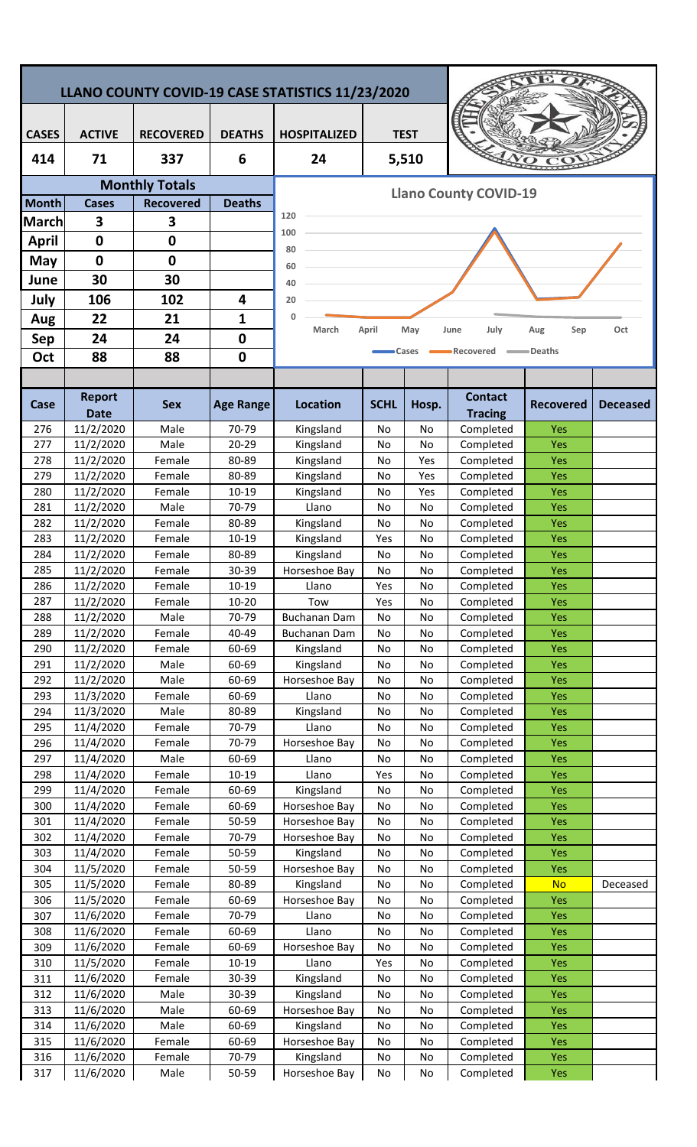| LLANO COUNTY COVID-19 CASE STATISTICS 11/23/2020 |                        |                       |                  |                                    |             |          |                        |                   |                 |  |  |
|--------------------------------------------------|------------------------|-----------------------|------------------|------------------------------------|-------------|----------|------------------------|-------------------|-----------------|--|--|
|                                                  |                        |                       |                  |                                    |             |          |                        |                   |                 |  |  |
| <b>CASES</b>                                     | <b>ACTIVE</b>          | <b>RECOVERED</b>      | <b>DEATHS</b>    | <b>TEST</b><br><b>HOSPITALIZED</b> |             |          |                        |                   |                 |  |  |
| 414                                              | 71                     | 337                   | 6                | 24                                 |             | 5,510    |                        |                   |                 |  |  |
|                                                  |                        | <b>Monthly Totals</b> |                  |                                    |             |          |                        |                   |                 |  |  |
| <b>Month</b>                                     | <b>Cases</b>           | <b>Recovered</b>      | <b>Deaths</b>    | <b>Llano County COVID-19</b>       |             |          |                        |                   |                 |  |  |
| <b>March</b>                                     | 3                      | 3                     |                  | 120                                |             |          |                        |                   |                 |  |  |
| <b>April</b>                                     | $\mathbf 0$            | $\mathbf 0$           |                  | 100                                |             |          |                        |                   |                 |  |  |
| May                                              | $\mathbf 0$            | 0                     |                  | 80<br>60                           |             |          |                        |                   |                 |  |  |
| June                                             | 30                     | 30                    |                  | 40                                 |             |          |                        |                   |                 |  |  |
| July                                             | 106                    | 102                   | 4                | 20                                 |             |          |                        |                   |                 |  |  |
| Aug                                              | 22                     | 21                    | 1                | 0                                  |             |          |                        |                   |                 |  |  |
| <b>Sep</b>                                       | 24                     | 24                    | 0                | March                              | April       | May      | July<br>June           | Sep<br>Aug        | Oct             |  |  |
| Oct                                              | 88                     | 88                    | $\mathbf 0$      |                                    |             | Cases    | Recovered              | =Deaths           |                 |  |  |
|                                                  |                        |                       |                  |                                    |             |          |                        |                   |                 |  |  |
|                                                  | <b>Report</b>          |                       |                  |                                    |             |          | <b>Contact</b>         |                   |                 |  |  |
| Case                                             | <b>Date</b>            | <b>Sex</b>            | <b>Age Range</b> | <b>Location</b>                    | <b>SCHL</b> | Hosp.    | <b>Tracing</b>         | <b>Recovered</b>  | <b>Deceased</b> |  |  |
| 276                                              | 11/2/2020              | Male                  | 70-79            | Kingsland                          | No          | No       | Completed              | Yes               |                 |  |  |
| 277                                              | 11/2/2020              | Male                  | $20 - 29$        | Kingsland                          | No          | No       | Completed              | Yes               |                 |  |  |
| 278                                              | 11/2/2020              | Female                | 80-89            | Kingsland                          | No          | Yes      | Completed              | Yes               |                 |  |  |
| 279                                              | 11/2/2020              | Female                | 80-89            | Kingsland                          | No          | Yes      | Completed              | Yes               |                 |  |  |
| 280<br>281                                       | 11/2/2020<br>11/2/2020 | Female<br>Male        | 10-19<br>70-79   | Kingsland<br>Llano                 | No          | Yes      | Completed              | Yes               |                 |  |  |
| 282                                              | 11/2/2020              | Female                | 80-89            | Kingsland                          | No<br>No    | No<br>No | Completed<br>Completed | Yes<br>Yes        |                 |  |  |
| 283                                              | 11/2/2020              | Female                | 10-19            | Kingsland                          | Yes         | No       | Completed              | Yes               |                 |  |  |
| 284                                              | 11/2/2020              | Female                | 80-89            | Kingsland                          | No          | No       | Completed              | Yes               |                 |  |  |
| 285                                              | 11/2/2020              | Female                | 30-39            | Horseshoe Bay                      | No          | No       | Completed              | Yes               |                 |  |  |
| 286                                              | 11/2/2020              | Female                | $10 - 19$        | Llano                              | Yes         | No       | Completed              | Yes               |                 |  |  |
| 287                                              | 11/2/2020              | Female                | $10 - 20$        | Tow                                | Yes         | No       | Completed              | <b>Yes</b>        |                 |  |  |
| 288<br>289                                       | 11/2/2020<br>11/2/2020 | Male<br>Female        | 70-79<br>40-49   | Buchanan Dam<br>Buchanan Dam       | No<br>No    | No<br>No | Completed<br>Completed | <b>Yes</b><br>Yes |                 |  |  |
| 290                                              | 11/2/2020              | Female                | 60-69            | Kingsland                          | No          | No       | Completed              | <b>Yes</b>        |                 |  |  |
| 291                                              | 11/2/2020              | Male                  | 60-69            | Kingsland                          | No          | No       | Completed              | <b>Yes</b>        |                 |  |  |
| 292                                              | 11/2/2020              | Male                  | 60-69            | Horseshoe Bay                      | No          | No       | Completed              | <b>Yes</b>        |                 |  |  |
| 293                                              | 11/3/2020              | Female                | 60-69            | Llano                              | No          | No       | Completed              | <b>Yes</b>        |                 |  |  |
| 294                                              | 11/3/2020              | Male                  | 80-89            | Kingsland                          | No          | No       | Completed              | <b>Yes</b>        |                 |  |  |
| 295<br>296                                       | 11/4/2020<br>11/4/2020 | Female<br>Female      | 70-79<br>70-79   | Llano<br>Horseshoe Bay             | No<br>No    | No<br>No | Completed<br>Completed | Yes<br>Yes        |                 |  |  |
| 297                                              | 11/4/2020              | Male                  | 60-69            | Llano                              | No          | No       | Completed              | <b>Yes</b>        |                 |  |  |
| 298                                              | 11/4/2020              | Female                | 10-19            | Llano                              | Yes         | No       | Completed              | <b>Yes</b>        |                 |  |  |
| 299                                              | 11/4/2020              | Female                | 60-69            | Kingsland                          | No          | No       | Completed              | <b>Yes</b>        |                 |  |  |
| 300                                              | 11/4/2020              | Female                | 60-69            | Horseshoe Bay                      | No          | No       | Completed              | <b>Yes</b>        |                 |  |  |
| 301                                              | 11/4/2020              | Female                | 50-59            | Horseshoe Bay                      | No          | No       | Completed              | <b>Yes</b>        |                 |  |  |
| 302<br>303                                       | 11/4/2020<br>11/4/2020 | Female<br>Female      | 70-79<br>50-59   | Horseshoe Bay<br>Kingsland         | No<br>No    | No<br>No | Completed<br>Completed | <b>Yes</b><br>Yes |                 |  |  |
| 304                                              | 11/5/2020              | Female                | 50-59            | Horseshoe Bay                      | No          | No       | Completed              | <b>Yes</b>        |                 |  |  |
| 305                                              | 11/5/2020              | Female                | 80-89            | Kingsland                          | No          | No       | Completed              | <b>No</b>         | Deceased        |  |  |
| 306                                              | 11/5/2020              | Female                | 60-69            | Horseshoe Bay                      | No          | No       | Completed              | Yes               |                 |  |  |
| 307                                              | 11/6/2020              | Female                | 70-79            | Llano                              | No          | No       | Completed              | <b>Yes</b>        |                 |  |  |
| 308                                              | 11/6/2020              | Female                | 60-69            | Llano                              | No          | No       | Completed              | <b>Yes</b>        |                 |  |  |
| 309<br>310                                       | 11/6/2020<br>11/5/2020 | Female<br>Female      | 60-69<br>10-19   | Horseshoe Bay<br>Llano             | No<br>Yes   | No<br>No | Completed<br>Completed | Yes<br><b>Yes</b> |                 |  |  |
| 311                                              | 11/6/2020              | Female                | 30-39            | Kingsland                          | No          | No       | Completed              | <b>Yes</b>        |                 |  |  |
| 312                                              | 11/6/2020              | Male                  | 30-39            | Kingsland                          | No          | No       | Completed              | <b>Yes</b>        |                 |  |  |
| 313                                              | 11/6/2020              | Male                  | 60-69            | Horseshoe Bay                      | No          | No       | Completed              | <b>Yes</b>        |                 |  |  |
| 314                                              | 11/6/2020              | Male                  | 60-69            | Kingsland                          | No          | No       | Completed              | <b>Yes</b>        |                 |  |  |
| 315                                              | 11/6/2020              | Female                | 60-69            | Horseshoe Bay                      | No          | No       | Completed              | Yes               |                 |  |  |
| 316<br>317                                       | 11/6/2020<br>11/6/2020 | Female<br>Male        | 70-79<br>50-59   | Kingsland<br>Horseshoe Bay         | No<br>No    | No<br>No | Completed<br>Completed | Yes<br><b>Yes</b> |                 |  |  |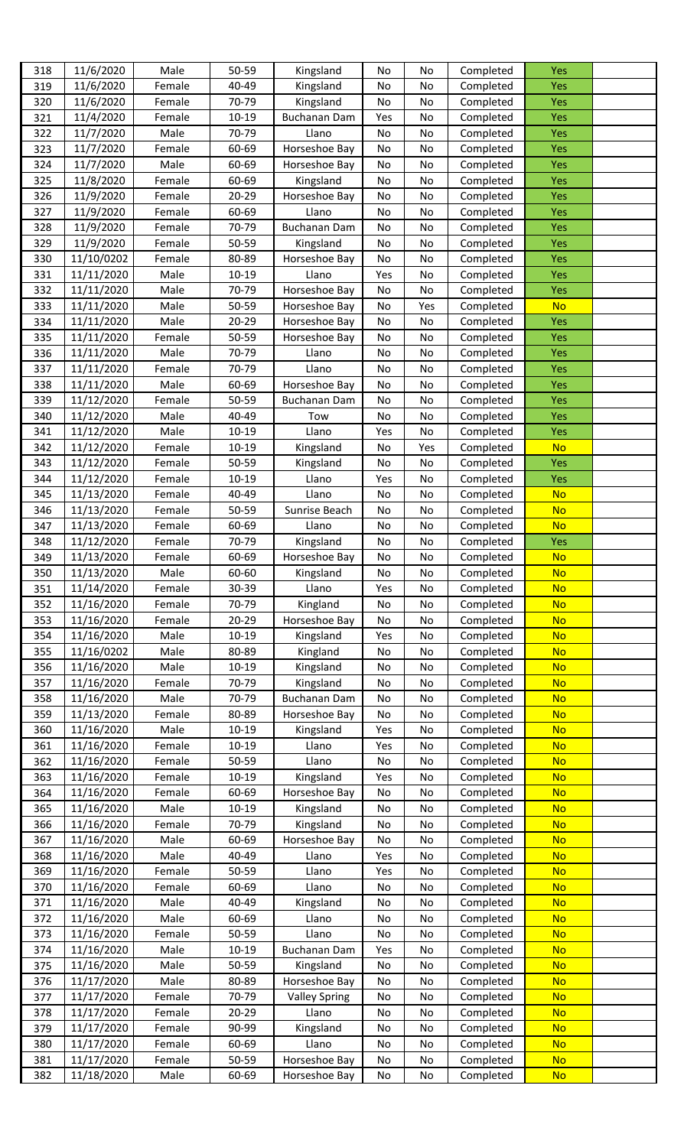| 318 | 11/6/2020  | Male   | 50-59     | Kingsland            | No  | No  | Completed | Yes        |  |
|-----|------------|--------|-----------|----------------------|-----|-----|-----------|------------|--|
| 319 | 11/6/2020  | Female | 40-49     | Kingsland            | No  | No  | Completed | Yes        |  |
| 320 | 11/6/2020  | Female | 70-79     | Kingsland            | No  | No  | Completed | Yes        |  |
| 321 | 11/4/2020  | Female | $10 - 19$ | <b>Buchanan Dam</b>  | Yes | No  | Completed | Yes        |  |
|     |            |        |           |                      |     |     |           |            |  |
| 322 | 11/7/2020  | Male   | 70-79     | Llano                | No  | No  | Completed | Yes        |  |
| 323 | 11/7/2020  | Female | 60-69     | Horseshoe Bay        | No  | No  | Completed | Yes        |  |
| 324 | 11/7/2020  | Male   | 60-69     | Horseshoe Bay        | No  | No  | Completed | Yes        |  |
| 325 | 11/8/2020  | Female | 60-69     | Kingsland            | No  | No  | Completed | Yes        |  |
| 326 | 11/9/2020  | Female | 20-29     | Horseshoe Bay        | No  | No  | Completed | Yes        |  |
| 327 | 11/9/2020  | Female | 60-69     | Llano                | No  | No  | Completed | Yes        |  |
| 328 | 11/9/2020  | Female | 70-79     | Buchanan Dam         | No  | No  | Completed | Yes        |  |
| 329 | 11/9/2020  | Female | 50-59     | Kingsland            | No  | No  | Completed | Yes        |  |
| 330 | 11/10/0202 | Female | 80-89     | Horseshoe Bay        | No  | No  | Completed | Yes        |  |
| 331 | 11/11/2020 | Male   | 10-19     | Llano                | Yes | No  | Completed | Yes        |  |
|     |            | Male   |           | Horseshoe Bay        |     |     |           |            |  |
| 332 | 11/11/2020 |        | 70-79     |                      | No  | No  | Completed | <b>Yes</b> |  |
| 333 | 11/11/2020 | Male   | 50-59     | Horseshoe Bay        | No  | Yes | Completed | <b>No</b>  |  |
| 334 | 11/11/2020 | Male   | $20 - 29$ | Horseshoe Bay        | No  | No  | Completed | Yes        |  |
| 335 | 11/11/2020 | Female | 50-59     | Horseshoe Bay        | No  | No  | Completed | Yes        |  |
| 336 | 11/11/2020 | Male   | 70-79     | Llano                | No  | No  | Completed | Yes        |  |
| 337 | 11/11/2020 | Female | 70-79     | Llano                | No  | No  | Completed | Yes        |  |
| 338 | 11/11/2020 | Male   | 60-69     | Horseshoe Bay        | No  | No  | Completed | Yes        |  |
| 339 | 11/12/2020 | Female | 50-59     | <b>Buchanan Dam</b>  | No  | No  | Completed | Yes        |  |
| 340 | 11/12/2020 | Male   | 40-49     | Tow                  | No  | No  | Completed | Yes        |  |
| 341 | 11/12/2020 | Male   | $10 - 19$ | Llano                | Yes | No  | Completed | Yes        |  |
| 342 | 11/12/2020 | Female | $10 - 19$ | Kingsland            | No  | Yes | Completed | <b>No</b>  |  |
|     |            |        |           |                      |     |     |           |            |  |
| 343 | 11/12/2020 | Female | 50-59     | Kingsland            | No  | No  | Completed | Yes        |  |
| 344 | 11/12/2020 | Female | $10 - 19$ | Llano                | Yes | No  | Completed | <b>Yes</b> |  |
| 345 | 11/13/2020 | Female | 40-49     | Llano                | No  | No  | Completed | <b>No</b>  |  |
| 346 | 11/13/2020 | Female | 50-59     | Sunrise Beach        | No  | No  | Completed | <b>No</b>  |  |
| 347 | 11/13/2020 | Female | 60-69     | Llano                | No  | No  | Completed | <b>No</b>  |  |
| 348 | 11/12/2020 | Female | 70-79     | Kingsland            | No  | No  | Completed | Yes        |  |
| 349 | 11/13/2020 | Female | 60-69     | Horseshoe Bay        | No  | No  | Completed | <b>No</b>  |  |
| 350 | 11/13/2020 | Male   | 60-60     | Kingsland            | Νo  | Νo  | Completed | <u>No</u>  |  |
| 351 | 11/14/2020 | Female | 30-39     | Llano                | Yes | No  | Completed | <b>No</b>  |  |
| 352 | 11/16/2020 | Female | 70-79     | Kingland             | No  | No  | Completed | <b>No</b>  |  |
| 353 | 11/16/2020 | Female | 20-29     | Horseshoe Bay        | No  | No  | Completed | <b>No</b>  |  |
|     |            |        | $10 - 19$ |                      |     |     | Completed | <b>No</b>  |  |
| 354 | 11/16/2020 | Male   |           | Kingsland            | Yes | No  |           |            |  |
| 355 | 11/16/0202 | Male   | 80-89     | Kingland             | No  | No  | Completed | <b>No</b>  |  |
| 356 | 11/16/2020 | Male   | 10-19     | Kingsland            | No  | No  | Completed | <b>No</b>  |  |
| 357 | 11/16/2020 | Female | 70-79     | Kingsland            | No  | No  | Completed | <b>No</b>  |  |
| 358 | 11/16/2020 | Male   | 70-79     | <b>Buchanan Dam</b>  | No  | No  | Completed | <b>No</b>  |  |
| 359 | 11/13/2020 | Female | 80-89     | Horseshoe Bay        | No  | No  | Completed | <b>No</b>  |  |
| 360 | 11/16/2020 | Male   | 10-19     | Kingsland            | Yes | No  | Completed | <b>No</b>  |  |
| 361 | 11/16/2020 | Female | 10-19     | Llano                | Yes | No  | Completed | <b>No</b>  |  |
| 362 | 11/16/2020 | Female | 50-59     | Llano                | No  | No  | Completed | <b>No</b>  |  |
| 363 | 11/16/2020 | Female | 10-19     | Kingsland            | Yes | No  | Completed | <b>No</b>  |  |
| 364 | 11/16/2020 | Female | 60-69     | Horseshoe Bay        | No  | No  | Completed | <b>No</b>  |  |
|     |            | Male   |           |                      |     |     |           | <b>No</b>  |  |
| 365 | 11/16/2020 |        | $10 - 19$ | Kingsland            | No  | No  | Completed |            |  |
| 366 | 11/16/2020 | Female | 70-79     | Kingsland            | No  | No  | Completed | <b>No</b>  |  |
| 367 | 11/16/2020 | Male   | 60-69     | Horseshoe Bay        | No  | No  | Completed | <b>No</b>  |  |
| 368 | 11/16/2020 | Male   | 40-49     | Llano                | Yes | No  | Completed | <b>No</b>  |  |
| 369 | 11/16/2020 | Female | 50-59     | Llano                | Yes | No  | Completed | <b>No</b>  |  |
| 370 | 11/16/2020 | Female | 60-69     | Llano                | No  | No  | Completed | <b>No</b>  |  |
| 371 | 11/16/2020 | Male   | 40-49     | Kingsland            | No  | No  | Completed | <b>No</b>  |  |
| 372 | 11/16/2020 | Male   | 60-69     | Llano                | No  | No  | Completed | <b>No</b>  |  |
| 373 | 11/16/2020 | Female | 50-59     | Llano                | No  | No  | Completed | <b>No</b>  |  |
| 374 | 11/16/2020 | Male   | 10-19     | <b>Buchanan Dam</b>  | Yes | No  | Completed | <b>No</b>  |  |
| 375 | 11/16/2020 | Male   | 50-59     | Kingsland            | No  | No  | Completed | <b>No</b>  |  |
| 376 | 11/17/2020 | Male   | 80-89     | Horseshoe Bay        | No  | No  | Completed | <b>No</b>  |  |
|     |            |        |           |                      |     |     |           |            |  |
| 377 | 11/17/2020 | Female | 70-79     | <b>Valley Spring</b> | No  | No  | Completed | <b>No</b>  |  |
| 378 | 11/17/2020 | Female | $20 - 29$ | Llano                | No  | No  | Completed | <b>No</b>  |  |
| 379 | 11/17/2020 | Female | 90-99     | Kingsland            | No  | No  | Completed | <b>No</b>  |  |
| 380 | 11/17/2020 | Female | 60-69     | Llano                | No  | No  | Completed | <b>No</b>  |  |
| 381 | 11/17/2020 | Female | 50-59     | Horseshoe Bay        | No  | No  | Completed | <b>No</b>  |  |
| 382 | 11/18/2020 | Male   | 60-69     | Horseshoe Bay        | No  | No  | Completed | <b>No</b>  |  |